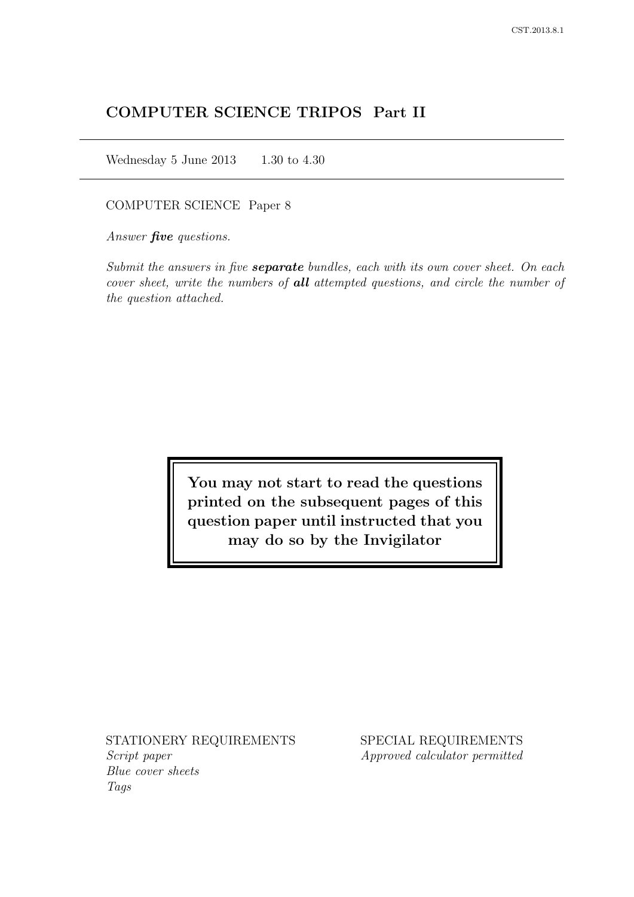# COMPUTER SCIENCE TRIPOS Part II

Wednesday 5 June 2013  $1.30$  to 4.30

COMPUTER SCIENCE Paper 8

Answer *five* questions.

Submit the answers in five **separate** bundles, each with its own cover sheet. On each cover sheet, write the numbers of **all** attempted questions, and circle the number of the question attached.

> You may not start to read the questions printed on the subsequent pages of this question paper until instructed that you may do so by the Invigilator

STATIONERY REQUIREMENTS Script paper Blue cover sheets

Tags

SPECIAL REQUIREMENTS Approved calculator permitted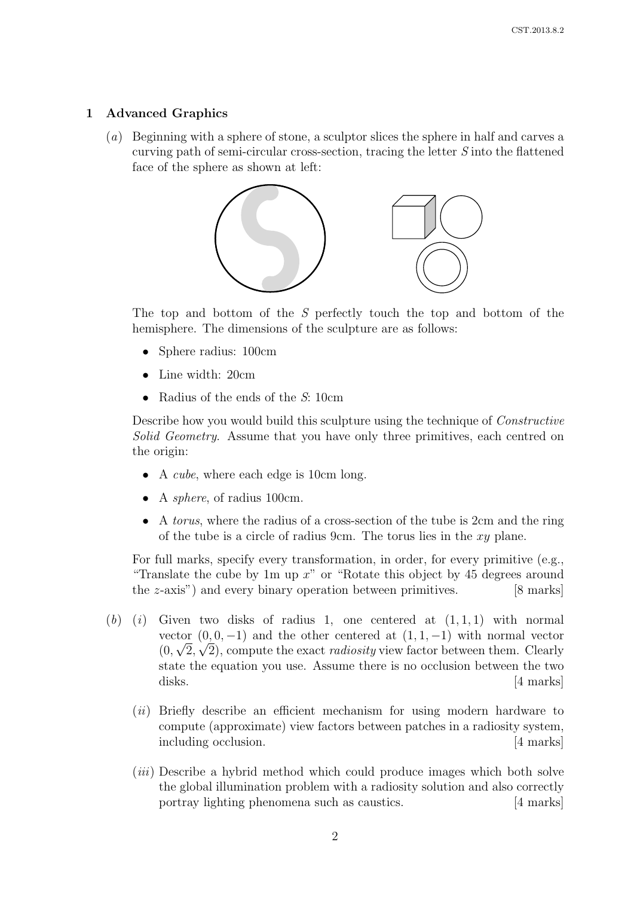# 1 Advanced Graphics

(a) Beginning with a sphere of stone, a sculptor slices the sphere in half and carves a curving path of semi-circular cross-section, tracing the letter S into the flattened face of the sphere as shown at left:



The top and bottom of the S perfectly touch the top and bottom of the hemisphere. The dimensions of the sculpture are as follows:

- Sphere radius: 100cm
- Line width: 20cm
- Radius of the ends of the S: 10cm

Describe how you would build this sculpture using the technique of Constructive Solid Geometry. Assume that you have only three primitives, each centred on the origin:

- A *cube*, where each edge is 10cm long.
- A *sphere*, of radius 100cm.
- A torus, where the radius of a cross-section of the tube is 2cm and the ring of the tube is a circle of radius 9cm. The torus lies in the  $xy$  plane.

For full marks, specify every transformation, in order, for every primitive (e.g., "Translate the cube by 1m up  $x$ " or "Rotate this object by 45 degrees around the z-axis") and every binary operation between primitives. [8 marks]

- $(b)$  (i) Given two disks of radius 1, one centered at  $(1, 1, 1)$  with normal vector  $(0, 0, -1)$  and the other centered at  $(1, 1, -1)$  with normal vector  $(0, \sqrt{2}, \sqrt{2})$ , compute the exact *radiosity* view factor between them. Clearly state the equation you use. Assume there is no occlusion between the two disks. [4 marks]
	- (*ii*) Briefly describe an efficient mechanism for using modern hardware to compute (approximate) view factors between patches in a radiosity system, including occlusion. [4 marks]
	- (*iii*) Describe a hybrid method which could produce images which both solve the global illumination problem with a radiosity solution and also correctly portray lighting phenomena such as caustics. [4 marks]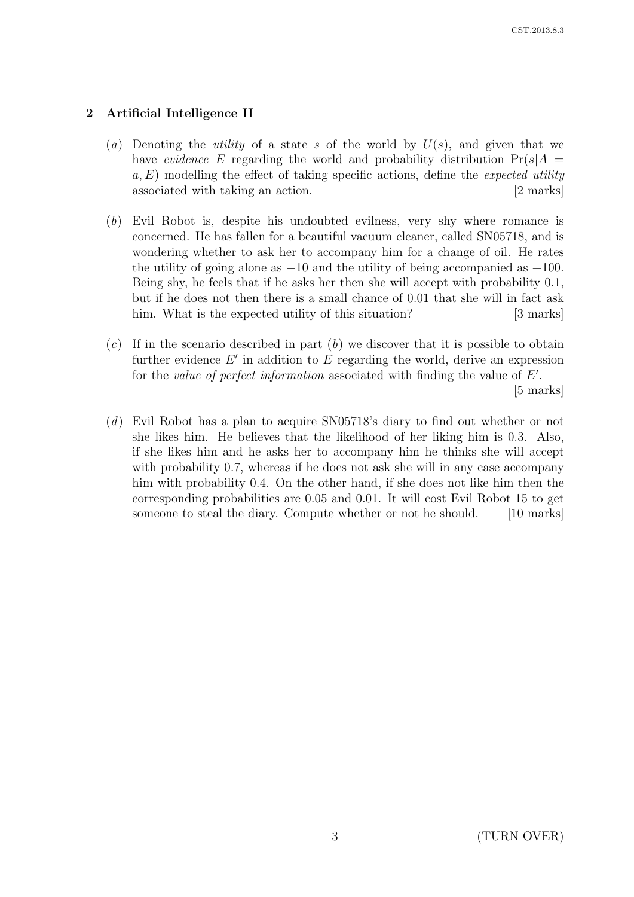# 2 Artificial Intelligence II

- (a) Denoting the *utility* of a state s of the world by  $U(s)$ , and given that we have evidence E regarding the world and probability distribution  $Pr(s|A =$  $a, E$ ) modelling the effect of taking specific actions, define the *expected utility* associated with taking an action. [2 marks]
- (b) Evil Robot is, despite his undoubted evilness, very shy where romance is concerned. He has fallen for a beautiful vacuum cleaner, called SN05718, and is wondering whether to ask her to accompany him for a change of oil. He rates the utility of going alone as  $-10$  and the utility of being accompanied as  $+100$ . Being shy, he feels that if he asks her then she will accept with probability 0.1, but if he does not then there is a small chance of 0.01 that she will in fact ask him. What is the expected utility of this situation? [3 marks]
- $(c)$  If in the scenario described in part  $(b)$  we discover that it is possible to obtain further evidence  $E'$  in addition to  $E$  regarding the world, derive an expression for the value of perfect information associated with finding the value of  $E'$ . [5 marks]
- (d) Evil Robot has a plan to acquire SN05718's diary to find out whether or not she likes him. He believes that the likelihood of her liking him is 0.3. Also, if she likes him and he asks her to accompany him he thinks she will accept with probability 0.7, whereas if he does not ask she will in any case accompany him with probability 0.4. On the other hand, if she does not like him then the corresponding probabilities are 0.05 and 0.01. It will cost Evil Robot 15 to get someone to steal the diary. Compute whether or not he should. [10 marks]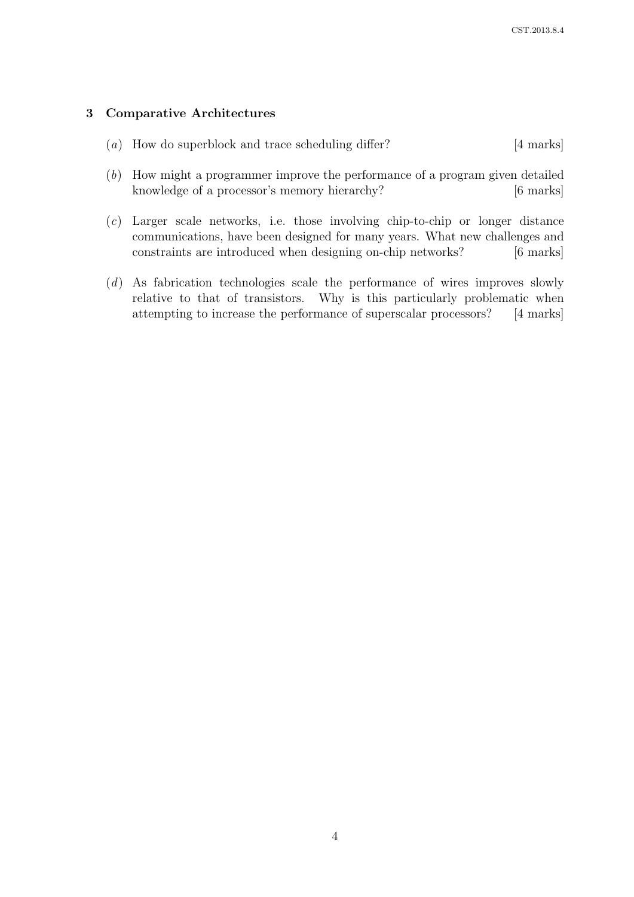# 3 Comparative Architectures

- (a) How do superblock and trace scheduling differ? [4 marks]
- (b) How might a programmer improve the performance of a program given detailed knowledge of a processor's memory hierarchy? [6 marks]
- (c) Larger scale networks, i.e. those involving chip-to-chip or longer distance communications, have been designed for many years. What new challenges and constraints are introduced when designing on-chip networks? [6 marks]
- (d) As fabrication technologies scale the performance of wires improves slowly relative to that of transistors. Why is this particularly problematic when attempting to increase the performance of superscalar processors? [4 marks]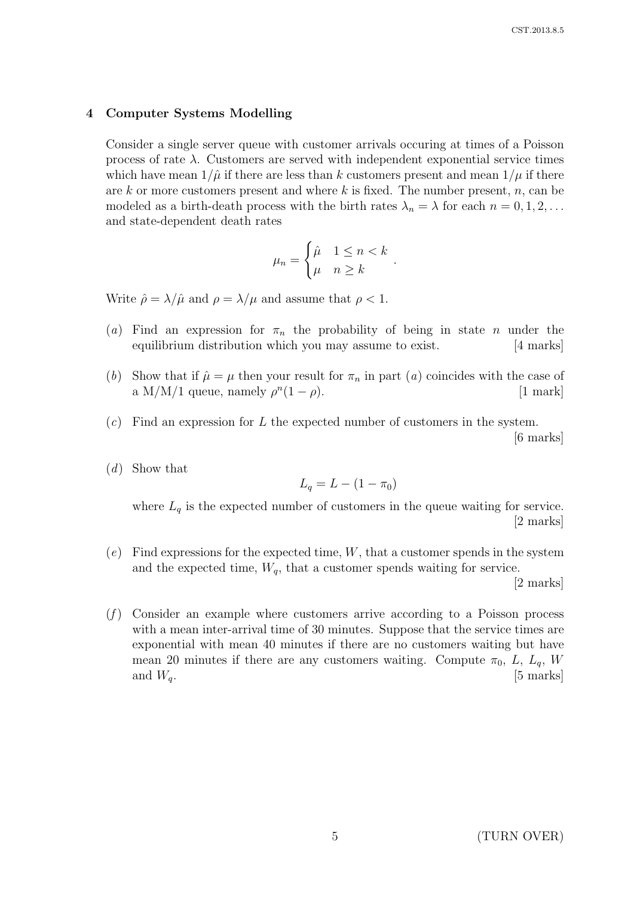#### 4 Computer Systems Modelling

Consider a single server queue with customer arrivals occuring at times of a Poisson process of rate  $\lambda$ . Customers are served with independent exponential service times which have mean  $1/\hat{\mu}$  if there are less than k customers present and mean  $1/\mu$  if there are  $k$  or more customers present and where  $k$  is fixed. The number present,  $n$ , can be modeled as a birth-death process with the birth rates  $\lambda_n = \lambda$  for each  $n = 0, 1, 2, \ldots$ and state-dependent death rates

$$
\mu_n = \begin{cases} \hat{\mu} & 1 \le n < k \\ \mu & n \ge k \end{cases}
$$

.

Write  $\hat{\rho} = \lambda / \hat{\mu}$  and  $\rho = \lambda / \mu$  and assume that  $\rho < 1$ .

- (a) Find an expression for  $\pi_n$  the probability of being in state *n* under the equilibrium distribution which you may assume to exist. [4 marks]
- (b) Show that if  $\hat{\mu} = \mu$  then your result for  $\pi_n$  in part (a) coincides with the case of a M/M/1 queue, namely  $\rho^{n}(1-\rho)$ . [1 mark]
- $(c)$  Find an expression for L the expected number of customers in the system. [6 marks]
- (d) Show that

$$
L_q = L - (1 - \pi_0)
$$

where  $L_q$  is the expected number of customers in the queue waiting for service. [2 marks]

 $(e)$  Find expressions for the expected time, W, that a customer spends in the system and the expected time,  $W_q$ , that a customer spends waiting for service.

[2 marks]

 $(f)$  Consider an example where customers arrive according to a Poisson process with a mean inter-arrival time of 30 minutes. Suppose that the service times are exponential with mean 40 minutes if there are no customers waiting but have mean 20 minutes if there are any customers waiting. Compute  $\pi_0$ , L,  $L_q$ , W and  $W_q$ . [5 marks]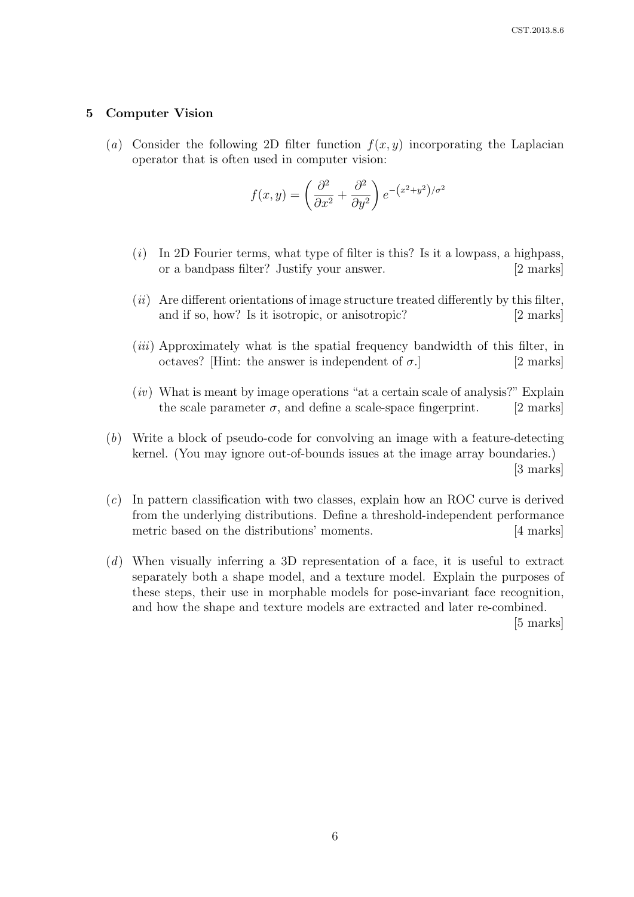#### 5 Computer Vision

(a) Consider the following 2D filter function  $f(x, y)$  incorporating the Laplacian operator that is often used in computer vision:

$$
f(x,y) = \left(\frac{\partial^2}{\partial x^2} + \frac{\partial^2}{\partial y^2}\right) e^{-(x^2 + y^2)/\sigma^2}
$$

- $(i)$  In 2D Fourier terms, what type of filter is this? Is it a lowpass, a highpass, or a bandpass filter? Justify your answer. [2 marks]
- $(ii)$  Are different orientations of image structure treated differently by this filter. and if so, how? Is it isotropic, or anisotropic? [2 marks]
- (*iii*) Approximately what is the spatial frequency bandwidth of this filter, in octaves? [Hint: the answer is independent of  $\sigma$ .] [2 marks]
- $(iv)$  What is meant by image operations "at a certain scale of analysis?" Explain the scale parameter  $\sigma$ , and define a scale-space fingerprint. [2 marks]
- (b) Write a block of pseudo-code for convolving an image with a feature-detecting kernel. (You may ignore out-of-bounds issues at the image array boundaries.) [3 marks]
- $(c)$  In pattern classification with two classes, explain how an ROC curve is derived from the underlying distributions. Define a threshold-independent performance metric based on the distributions' moments. [4 marks]
- (d) When visually inferring a 3D representation of a face, it is useful to extract separately both a shape model, and a texture model. Explain the purposes of these steps, their use in morphable models for pose-invariant face recognition, and how the shape and texture models are extracted and later re-combined.

[5 marks]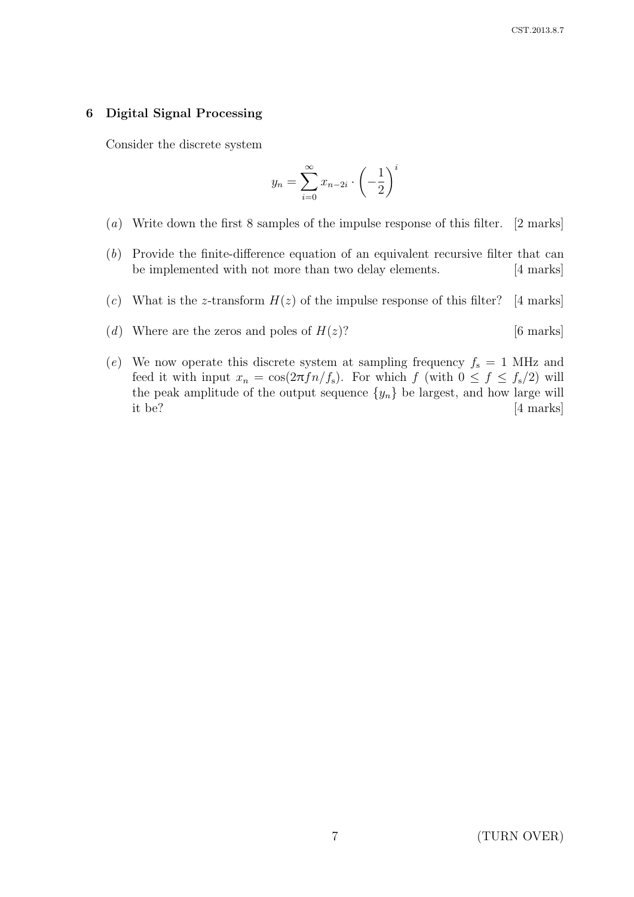### 6 Digital Signal Processing

Consider the discrete system

$$
y_n = \sum_{i=0}^{\infty} x_{n-2i} \cdot \left(-\frac{1}{2}\right)^i
$$

- (a) Write down the first 8 samples of the impulse response of this filter. [2 marks]
- (b) Provide the finite-difference equation of an equivalent recursive filter that can be implemented with not more than two delay elements. [4 marks]
- (c) What is the z-transform  $H(z)$  of the impulse response of this filter? [4 marks]
- (d) Where are the zeros and poles of  $H(z)$ ? [6 marks]
- (e) We now operate this discrete system at sampling frequency  $f_s = 1$  MHz and feed it with input  $x_n = \cos(2\pi f n/f_s)$ . For which f (with  $0 \le f \le f_s/2$ ) will the peak amplitude of the output sequence  $\{y_n\}$  be largest, and how large will it be? [4 marks]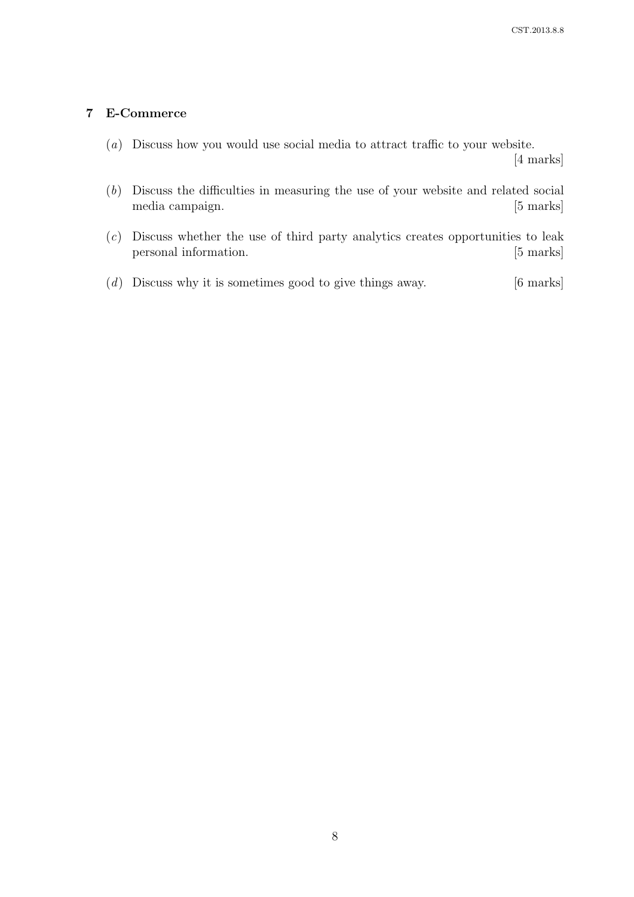# 7 E-Commerce

(a) Discuss how you would use social media to attract traffic to your website.

[4 marks]

- (b) Discuss the difficulties in measuring the use of your website and related social media campaign. [5 marks]
- (c) Discuss whether the use of third party analytics creates opportunities to leak personal information. [5 marks]
- $(d)$  Discuss why it is sometimes good to give things away. [6 marks]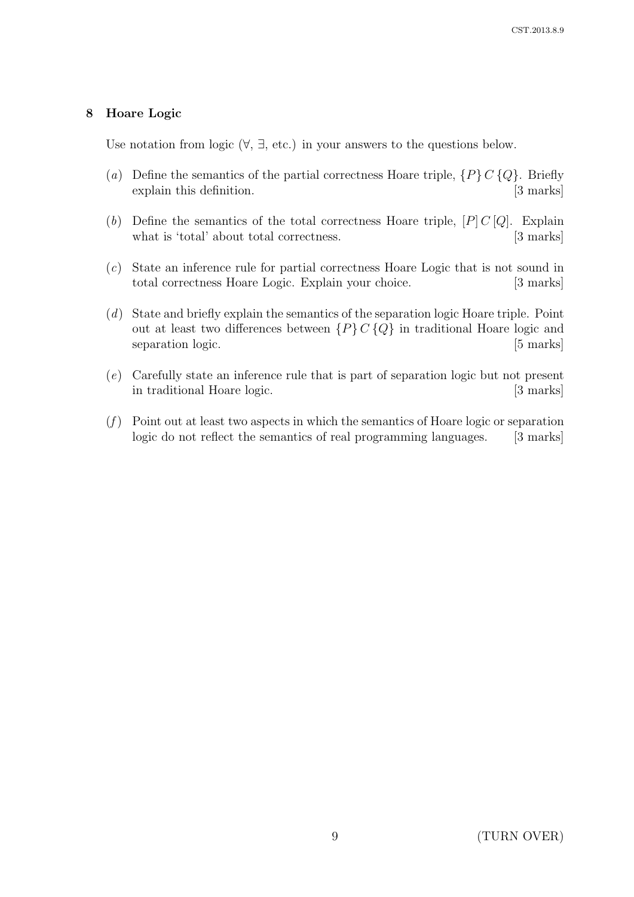### 8 Hoare Logic

Use notation from logic  $(\forall, \exists, \text{etc.})$  in your answers to the questions below.

- (a) Define the semantics of the partial correctness Hoare triple,  $\{P\} C \{Q\}$ . Briefly explain this definition. [3 marks]
- (b) Define the semantics of the total correctness Hoare triple,  $[P] C [Q]$ . Explain what is 'total' about total correctness. [3 marks]
- (c) State an inference rule for partial correctness Hoare Logic that is not sound in total correctness Hoare Logic. Explain your choice. [3 marks]
- (d) State and briefly explain the semantics of the separation logic Hoare triple. Point out at least two differences between  $\{P\} C \{Q\}$  in traditional Hoare logic and separation logic. [5 marks]
- (e) Carefully state an inference rule that is part of separation logic but not present in traditional Hoare logic. [3 marks]
- $(f)$  Point out at least two aspects in which the semantics of Hoare logic or separation logic do not reflect the semantics of real programming languages. [3 marks]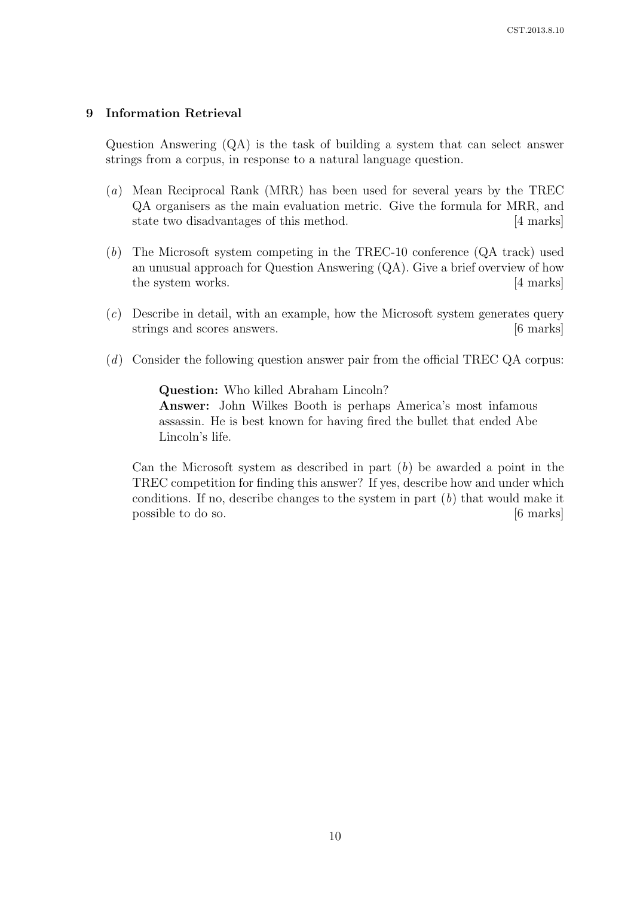### 9 Information Retrieval

Question Answering (QA) is the task of building a system that can select answer strings from a corpus, in response to a natural language question.

- (a) Mean Reciprocal Rank (MRR) has been used for several years by the TREC QA organisers as the main evaluation metric. Give the formula for MRR, and state two disadvantages of this method. [4 marks]
- (b) The Microsoft system competing in the TREC-10 conference (QA track) used an unusual approach for Question Answering (QA). Give a brief overview of how the system works. [4 marks]
- (c) Describe in detail, with an example, how the Microsoft system generates query strings and scores answers. [6 marks]
- (d) Consider the following question answer pair from the official TREC QA corpus:

Question: Who killed Abraham Lincoln? Answer: John Wilkes Booth is perhaps America's most infamous assassin. He is best known for having fired the bullet that ended Abe Lincoln's life.

Can the Microsoft system as described in part  $(b)$  be awarded a point in the TREC competition for finding this answer? If yes, describe how and under which conditions. If no, describe changes to the system in part  $(b)$  that would make it possible to do so. [6 marks]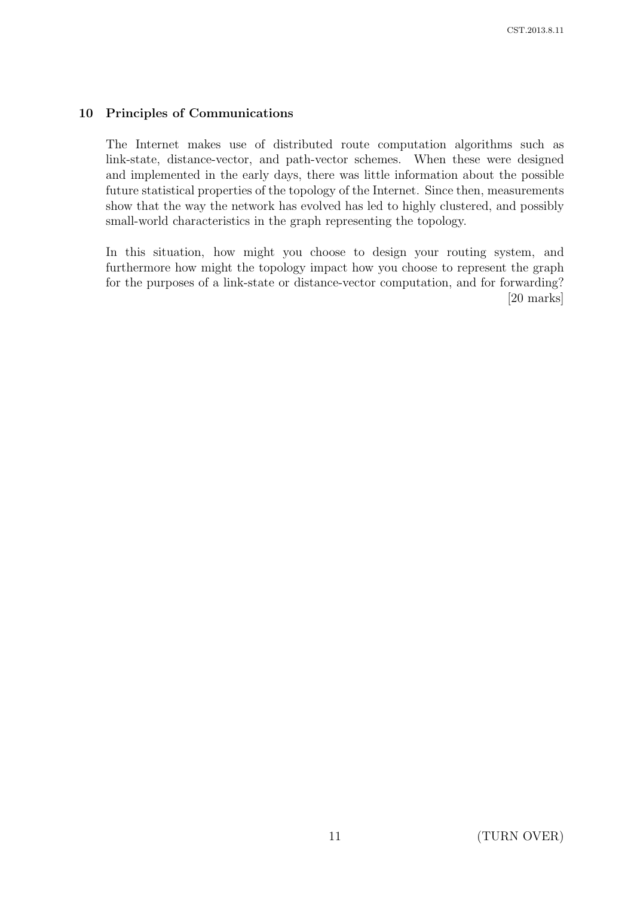# 10 Principles of Communications

The Internet makes use of distributed route computation algorithms such as link-state, distance-vector, and path-vector schemes. When these were designed and implemented in the early days, there was little information about the possible future statistical properties of the topology of the Internet. Since then, measurements show that the way the network has evolved has led to highly clustered, and possibly small-world characteristics in the graph representing the topology.

In this situation, how might you choose to design your routing system, and furthermore how might the topology impact how you choose to represent the graph for the purposes of a link-state or distance-vector computation, and for forwarding? [20 marks]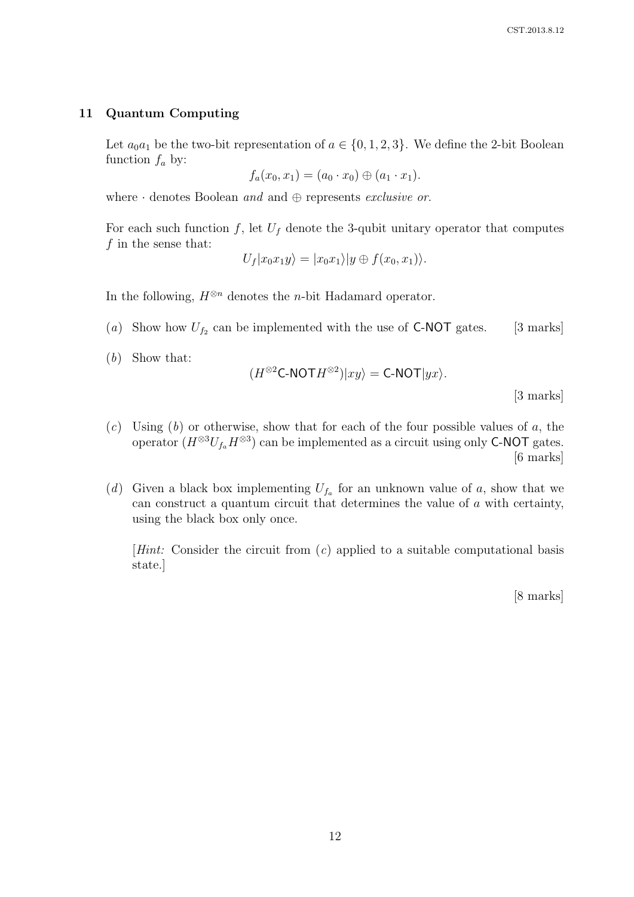#### 11 Quantum Computing

Let  $a_0a_1$  be the two-bit representation of  $a \in \{0, 1, 2, 3\}$ . We define the 2-bit Boolean function  $f_a$  by:

 $f_a(x_0, x_1) = (a_0 \cdot x_0) \oplus (a_1 \cdot x_1).$ 

where  $\cdot$  denotes Boolean and and  $\oplus$  represents exclusive or.

For each such function f, let  $U_f$  denote the 3-qubit unitary operator that computes  $f$  in the sense that:

$$
U_f|x_0x_1y\rangle=|x_0x_1\rangle|y\oplus f(x_0,x_1)\rangle.
$$

In the following,  $H^{\otimes n}$  denotes the *n*-bit Hadamard operator.

- (a) Show how  $U_{f_2}$  can be implemented with the use of **C-NOT** gates. [3 marks]
- (b) Show that:

$$
(H^{\otimes 2} \mathsf{C}\text{-}\mathsf{NOT} H^{\otimes 2})|xy\rangle = \mathsf{C}\text{-}\mathsf{NOT}|yx\rangle.
$$
 [3 marks]

- $(c)$  Using  $(b)$  or otherwise, show that for each of the four possible values of a, the operator  $(H^{\otimes 3}U_{f_a}H^{\otimes 3})$  can be implemented as a circuit using only **C-NOT** gates. [6 marks]
- (d) Given a black box implementing  $U_{f_a}$  for an unknown value of a, show that we can construct a quantum circuit that determines the value of a with certainty, using the black box only once.

[*Hint*: Consider the circuit from  $(c)$  applied to a suitable computational basis state.]

[8 marks]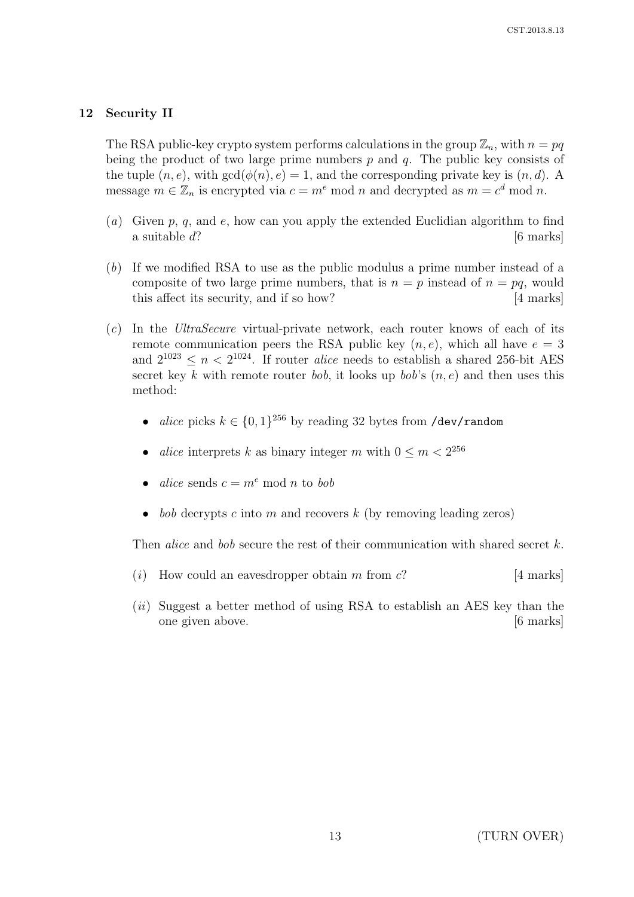## 12 Security II

The RSA public-key crypto system performs calculations in the group  $\mathbb{Z}_n$ , with  $n = pq$ being the product of two large prime numbers  $p$  and  $q$ . The public key consists of the tuple  $(n, e)$ , with  $gcd(\phi(n), e) = 1$ , and the corresponding private key is  $(n, d)$ . A message  $m \in \mathbb{Z}_n$  is encrypted via  $c = m^e \mod n$  and decrypted as  $m = c^d \mod n$ .

- (a) Given p, q, and e, how can you apply the extended Euclidian algorithm to find a suitable  $d$ ? [6 marks]
- (b) If we modified RSA to use as the public modulus a prime number instead of a composite of two large prime numbers, that is  $n = p$  instead of  $n = pq$ , would this affect its security, and if so how? [4 marks]
- (c) In the UltraSecure virtual-private network, each router knows of each of its remote communication peers the RSA public key  $(n, e)$ , which all have  $e = 3$ and  $2^{1023} \leq n < 2^{1024}$ . If router *alice* needs to establish a shared 256-bit AES secret key k with remote router bob, it looks up bob's  $(n, e)$  and then uses this method:
	- alice picks  $k \in \{0,1\}^{256}$  by reading 32 bytes from /dev/random
	- *alice* interprets k as binary integer m with  $0 \le m < 2^{256}$
	- alice sends  $c = m^e \mod n$  to bob
	- *bob* decrypts c into m and recovers k (by removing leading zeros)

Then *alice* and *bob* secure the rest of their communication with shared secret  $k$ .

- (i) How could an eavesdropper obtain m from  $c$ ? [4 marks]
- (*ii*) Suggest a better method of using RSA to establish an AES key than the one given above. [6 marks]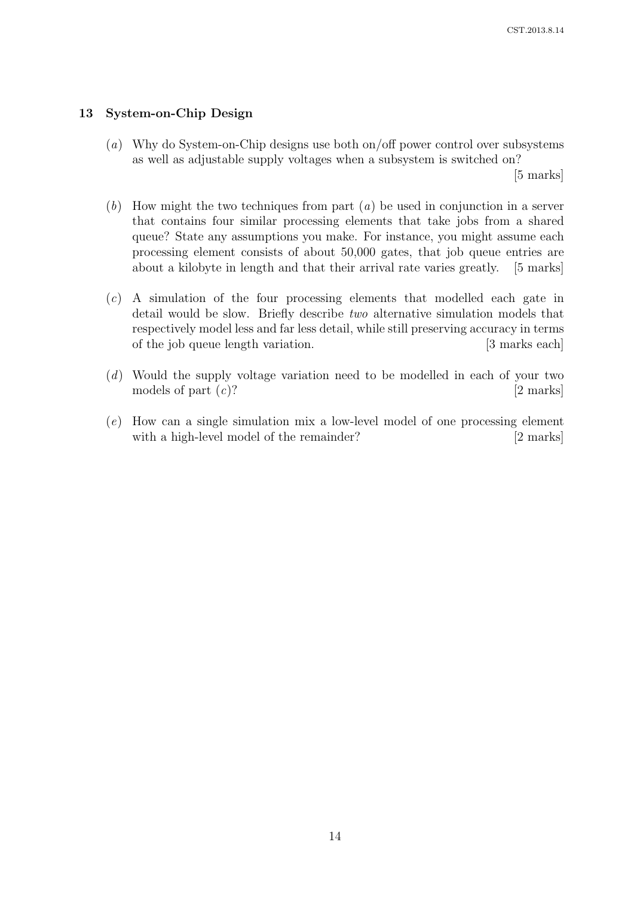# 13 System-on-Chip Design

(a) Why do System-on-Chip designs use both on/off power control over subsystems as well as adjustable supply voltages when a subsystem is switched on?

[5 marks]

- $(b)$  How might the two techniques from part  $(a)$  be used in conjunction in a server that contains four similar processing elements that take jobs from a shared queue? State any assumptions you make. For instance, you might assume each processing element consists of about 50,000 gates, that job queue entries are about a kilobyte in length and that their arrival rate varies greatly. [5 marks]
- (c) A simulation of the four processing elements that modelled each gate in detail would be slow. Briefly describe two alternative simulation models that respectively model less and far less detail, while still preserving accuracy in terms of the job queue length variation. [3 marks each]
- (d) Would the supply voltage variation need to be modelled in each of your two models of part  $(c)$ ? [2 marks]
- (e) How can a single simulation mix a low-level model of one processing element with a high-level model of the remainder? [2 marks]